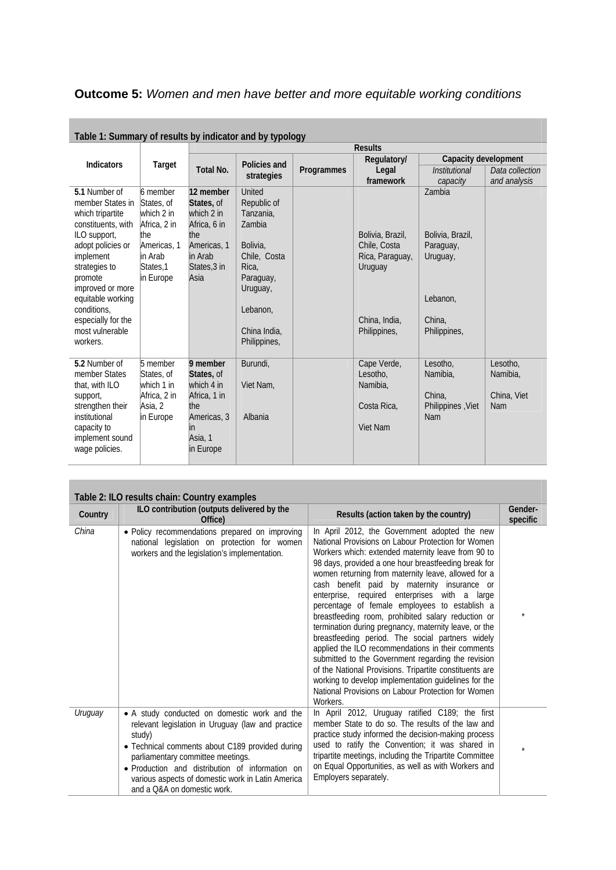## **Outcome 5:** *Women and men have better and more equitable working conditions*

| Table 1: Summary of results by indicator and by typology |                      |                         |                    |            |                  |                      |                 |
|----------------------------------------------------------|----------------------|-------------------------|--------------------|------------|------------------|----------------------|-----------------|
|                                                          |                      | <b>Results</b>          |                    |            |                  |                      |                 |
| <b>Indicators</b>                                        |                      |                         | Policies and       |            | Regulatory/      | Capacity development |                 |
|                                                          | Target               | <b>Total No.</b>        | strategies         | Programmes | Legal            | Institutional        | Data collection |
|                                                          |                      |                         |                    |            | framework        | capacity             | and analysis    |
| 5.1 Number of                                            | 6 member             | 12 member               | United             |            |                  | Zambia               |                 |
| member States in                                         | States, of           | States, of              | Republic of        |            |                  |                      |                 |
| which tripartite                                         | which 2 in           | which 2 in              | Tanzania.          |            |                  |                      |                 |
| constituents, with                                       | Africa, 2 in         | Africa, 6 in            | Zambia             |            |                  |                      |                 |
| ILO support,                                             | the                  | the                     |                    |            | Bolivia, Brazil, | Bolivia, Brazil,     |                 |
| adopt policies or                                        | Americas, 1          | Americas, 1             | Bolivia,           |            | Chile, Costa     | Paraguay,            |                 |
| implement                                                | in Arab<br>States, 1 | in Arab<br>States, 3 in | Chile, Costa       |            | Rica, Paraguay,  | Uruguay,             |                 |
| strategies to<br>promote                                 | in Europe            | Asia                    | Rica,<br>Paraguay, |            | Uruguay          |                      |                 |
| improved or more                                         |                      |                         | Uruguay,           |            |                  |                      |                 |
| equitable working                                        |                      |                         |                    |            |                  | Lebanon,             |                 |
| conditions.                                              |                      |                         | Lebanon,           |            |                  |                      |                 |
| especially for the                                       |                      |                         |                    |            | China, India,    | China,               |                 |
| most vulnerable                                          |                      |                         | China India,       |            | Philippines,     | Philippines,         |                 |
| workers.                                                 |                      |                         | Philippines,       |            |                  |                      |                 |
|                                                          |                      |                         |                    |            |                  |                      |                 |
| 5.2 Number of                                            | 5 member             | 9 member                | Burundi,           |            | Cape Verde,      | Lesotho,             | Lesotho,        |
| member States                                            | States, of           | States, of              |                    |            | Lesotho.         | Namibia.             | Namibia.        |
| that, with ILO                                           | which 1 in           | which 4 in              | Viet Nam,          |            | Namibia,         |                      |                 |
| support,                                                 | Africa, 2 in         | Africa, 1 in            |                    |            |                  | China.               | China, Viet     |
| strengthen their                                         | Asia, 2              | the                     |                    |            | Costa Rica,      | Philippines, Viet    | <b>Nam</b>      |
| institutional                                            | in Europe            | Americas, 3             | Albania            |            | Viet Nam         | Nam                  |                 |
| capacity to<br>implement sound                           |                      | ın<br>Asia, 1           |                    |            |                  |                      |                 |
| wage policies.                                           |                      | in Europe               |                    |            |                  |                      |                 |
|                                                          |                      |                         |                    |            |                  |                      |                 |
|                                                          |                      |                         |                    |            |                  |                      |                 |

| Table 1: Summary of results by indicator and by typology |  |  |
|----------------------------------------------------------|--|--|

| Table 2: ILO results chain: Country examples |                                                                                                                                                                                                                                                                                                                                            |                                                                                                                                                                                                                                                                                                                                                                                                                                                                                                                                                                                                                                                                                                                                                                                                                                                                                              |                     |  |
|----------------------------------------------|--------------------------------------------------------------------------------------------------------------------------------------------------------------------------------------------------------------------------------------------------------------------------------------------------------------------------------------------|----------------------------------------------------------------------------------------------------------------------------------------------------------------------------------------------------------------------------------------------------------------------------------------------------------------------------------------------------------------------------------------------------------------------------------------------------------------------------------------------------------------------------------------------------------------------------------------------------------------------------------------------------------------------------------------------------------------------------------------------------------------------------------------------------------------------------------------------------------------------------------------------|---------------------|--|
| Country                                      | ILO contribution (outputs delivered by the<br>Office)                                                                                                                                                                                                                                                                                      | Results (action taken by the country)                                                                                                                                                                                                                                                                                                                                                                                                                                                                                                                                                                                                                                                                                                                                                                                                                                                        | Gender-<br>specific |  |
| China                                        | • Policy recommendations prepared on improving<br>national legislation on protection for women<br>workers and the legislation's implementation.                                                                                                                                                                                            | In April 2012, the Government adopted the new<br>National Provisions on Labour Protection for Women<br>Workers which: extended maternity leave from 90 to<br>98 days, provided a one hour breastfeeding break for<br>women returning from maternity leave, allowed for a<br>cash benefit paid by maternity insurance or<br>enterprise, required enterprises with a large<br>percentage of female employees to establish a<br>breastfeeding room, prohibited salary reduction or<br>termination during pregnancy, maternity leave, or the<br>breastfeeding period. The social partners widely<br>applied the ILO recommendations in their comments<br>submitted to the Government regarding the revision<br>of the National Provisions. Tripartite constituents are<br>working to develop implementation guidelines for the<br>National Provisions on Labour Protection for Women<br>Workers. |                     |  |
| Uruguay                                      | • A study conducted on domestic work and the<br>relevant legislation in Uruguay (law and practice<br>study)<br>• Technical comments about C189 provided during<br>parliamentary committee meetings.<br>· Production and distribution of information on<br>various aspects of domestic work in Latin America<br>and a O&A on domestic work. | In April 2012, Uruguay ratified C189; the first<br>member State to do so. The results of the law and<br>practice study informed the decision-making process<br>used to ratify the Convention; it was shared in<br>tripartite meetings, including the Tripartite Committee<br>on Equal Opportunities, as well as with Workers and<br>Employers separately.                                                                                                                                                                                                                                                                                                                                                                                                                                                                                                                                    |                     |  |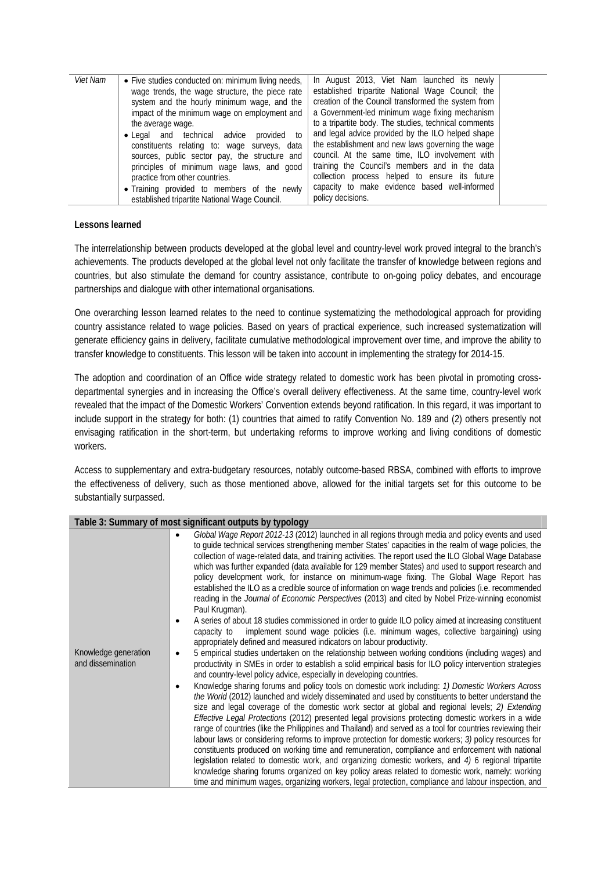| <i>Viet Nam</i> | • Five studies conducted on: minimum living needs,<br>wage trends, the wage structure, the piece rate<br>system and the hourly minimum wage, and the<br>impact of the minimum wage on employment and<br>the average wage.<br>• Legal and technical<br>advice<br>provided to<br>constituents relating to: wage surveys, data<br>sources, public sector pay, the structure and<br>principles of minimum wage laws, and good<br>practice from other countries.<br>• Training provided to members of the newly | In August 2013, Viet Nam launched its newly<br>established tripartite National Wage Council; the<br>creation of the Council transformed the system from<br>a Government-led minimum wage fixing mechanism<br>to a tripartite body. The studies, technical comments<br>and legal advice provided by the ILO helped shape<br>the establishment and new laws governing the wage<br>council. At the same time, ILO involvement with<br>training the Council's members and in the data<br>collection process helped to ensure its future<br>capacity to make evidence based well-informed |  |
|-----------------|------------------------------------------------------------------------------------------------------------------------------------------------------------------------------------------------------------------------------------------------------------------------------------------------------------------------------------------------------------------------------------------------------------------------------------------------------------------------------------------------------------|--------------------------------------------------------------------------------------------------------------------------------------------------------------------------------------------------------------------------------------------------------------------------------------------------------------------------------------------------------------------------------------------------------------------------------------------------------------------------------------------------------------------------------------------------------------------------------------|--|
|                 | established tripartite National Wage Council.                                                                                                                                                                                                                                                                                                                                                                                                                                                              | policy decisions.                                                                                                                                                                                                                                                                                                                                                                                                                                                                                                                                                                    |  |
|                 |                                                                                                                                                                                                                                                                                                                                                                                                                                                                                                            |                                                                                                                                                                                                                                                                                                                                                                                                                                                                                                                                                                                      |  |

## **Lessons learned**

The interrelationship between products developed at the global level and country-level work proved integral to the branch's achievements. The products developed at the global level not only facilitate the transfer of knowledge between regions and countries, but also stimulate the demand for country assistance, contribute to on-going policy debates, and encourage partnerships and dialogue with other international organisations.

One overarching lesson learned relates to the need to continue systematizing the methodological approach for providing country assistance related to wage policies. Based on years of practical experience, such increased systematization will generate efficiency gains in delivery, facilitate cumulative methodological improvement over time, and improve the ability to transfer knowledge to constituents. This lesson will be taken into account in implementing the strategy for 2014-15.

The adoption and coordination of an Office wide strategy related to domestic work has been pivotal in promoting crossdepartmental synergies and in increasing the Office's overall delivery effectiveness. At the same time, country-level work revealed that the impact of the Domestic Workers' Convention extends beyond ratification. In this regard, it was important to include support in the strategy for both: (1) countries that aimed to ratify Convention No. 189 and (2) others presently not envisaging ratification in the short-term, but undertaking reforms to improve working and living conditions of domestic workers.

Access to supplementary and extra-budgetary resources, notably outcome-based RBSA, combined with efforts to improve the effectiveness of delivery, such as those mentioned above, allowed for the initial targets set for this outcome to be substantially surpassed.

| Table 3: Summary of most significant outputs by typology |                                                                                                                                                                                                                                                                                                                                                                                                                                                                                                                                                                                                                                                                                                                                                                                                                                                                                                                                                                                                                                                                                                                                                                                                                                                                                                                                                                  |  |  |
|----------------------------------------------------------|------------------------------------------------------------------------------------------------------------------------------------------------------------------------------------------------------------------------------------------------------------------------------------------------------------------------------------------------------------------------------------------------------------------------------------------------------------------------------------------------------------------------------------------------------------------------------------------------------------------------------------------------------------------------------------------------------------------------------------------------------------------------------------------------------------------------------------------------------------------------------------------------------------------------------------------------------------------------------------------------------------------------------------------------------------------------------------------------------------------------------------------------------------------------------------------------------------------------------------------------------------------------------------------------------------------------------------------------------------------|--|--|
|                                                          | Global Wage Report 2012-13 (2012) launched in all regions through media and policy events and used<br>to guide technical services strengthening member States' capacities in the realm of wage policies, the<br>collection of wage-related data, and training activities. The report used the ILO Global Wage Database<br>which was further expanded (data available for 129 member States) and used to support research and<br>policy development work, for instance on minimum-wage fixing. The Global Wage Report has<br>established the ILO as a credible source of information on wage trends and policies (i.e. recommended<br>reading in the Journal of Economic Perspectives (2013) and cited by Nobel Prize-winning economist<br>Paul Krugman).<br>A series of about 18 studies commissioned in order to guide ILO policy aimed at increasing constituent<br>implement sound wage policies (i.e. minimum wages, collective bargaining) using<br>capacity to<br>appropriately defined and measured indicators on labour productivity.                                                                                                                                                                                                                                                                                                                    |  |  |
| Knowledge generation<br>and dissemination                | 5 empirical studies undertaken on the relationship between working conditions (including wages) and<br>٠<br>productivity in SMEs in order to establish a solid empirical basis for ILO policy intervention strategies<br>and country-level policy advice, especially in developing countries.<br>Knowledge sharing forums and policy tools on domestic work including: 1) Domestic Workers Across<br>the World (2012) launched and widely disseminated and used by constituents to better understand the<br>size and legal coverage of the domestic work sector at global and regional levels; 2) Extending<br>Effective Legal Protections (2012) presented legal provisions protecting domestic workers in a wide<br>range of countries (like the Philippines and Thailand) and served as a tool for countries reviewing their<br>labour laws or considering reforms to improve protection for domestic workers; 3) policy resources for<br>constituents produced on working time and remuneration, compliance and enforcement with national<br>legislation related to domestic work, and organizing domestic workers, and $4/6$ regional tripartite<br>knowledge sharing forums organized on key policy areas related to domestic work, namely: working<br>time and minimum wages, organizing workers, legal protection, compliance and labour inspection, and |  |  |